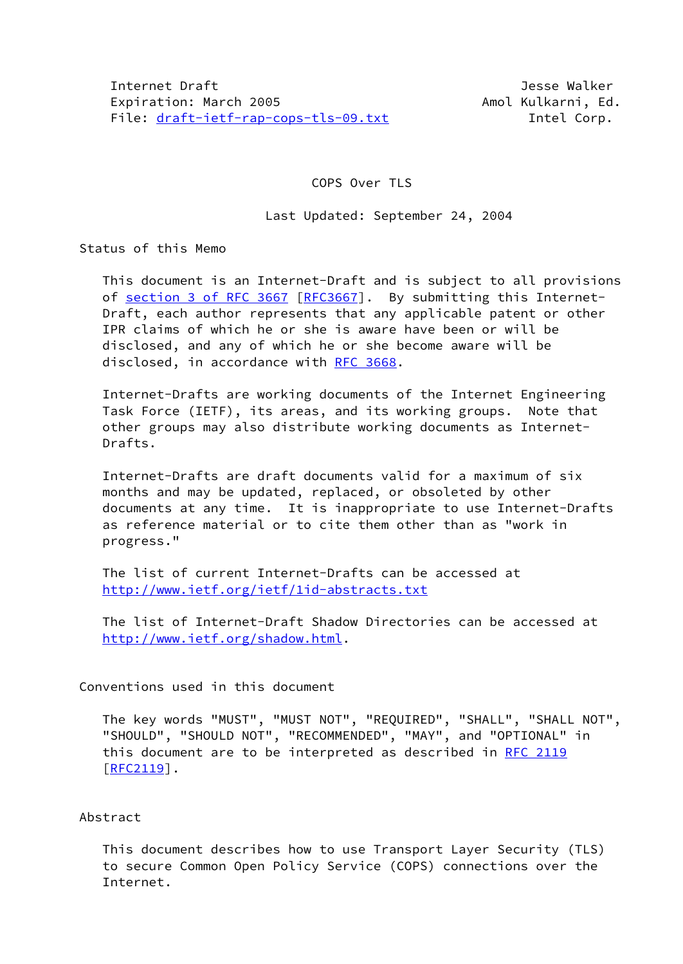COPS Over TLS

Last Updated: September 24, 2004

Status of this Memo

 This document is an Internet-Draft and is subject to all provisions of section [3 of RFC 3667](https://datatracker.ietf.org/doc/pdf/rfc3667#section-3) [[RFC3667](https://datatracker.ietf.org/doc/pdf/rfc3667)]. By submitting this Internet- Draft, each author represents that any applicable patent or other IPR claims of which he or she is aware have been or will be disclosed, and any of which he or she become aware will be disclosed, in accordance with [RFC 3668.](https://datatracker.ietf.org/doc/pdf/rfc3668)

 Internet-Drafts are working documents of the Internet Engineering Task Force (IETF), its areas, and its working groups. Note that other groups may also distribute working documents as Internet- Drafts.

 Internet-Drafts are draft documents valid for a maximum of six months and may be updated, replaced, or obsoleted by other documents at any time. It is inappropriate to use Internet-Drafts as reference material or to cite them other than as "work in progress."

 The list of current Internet-Drafts can be accessed at <http://www.ietf.org/ietf/1id-abstracts.txt>

 The list of Internet-Draft Shadow Directories can be accessed at <http://www.ietf.org/shadow.html>.

Conventions used in this document

 The key words "MUST", "MUST NOT", "REQUIRED", "SHALL", "SHALL NOT", "SHOULD", "SHOULD NOT", "RECOMMENDED", "MAY", and "OPTIONAL" in this document are to be interpreted as described in [RFC 2119](https://datatracker.ietf.org/doc/pdf/rfc2119)  $[REC2119]$ .

### Abstract

 This document describes how to use Transport Layer Security (TLS) to secure Common Open Policy Service (COPS) connections over the Internet.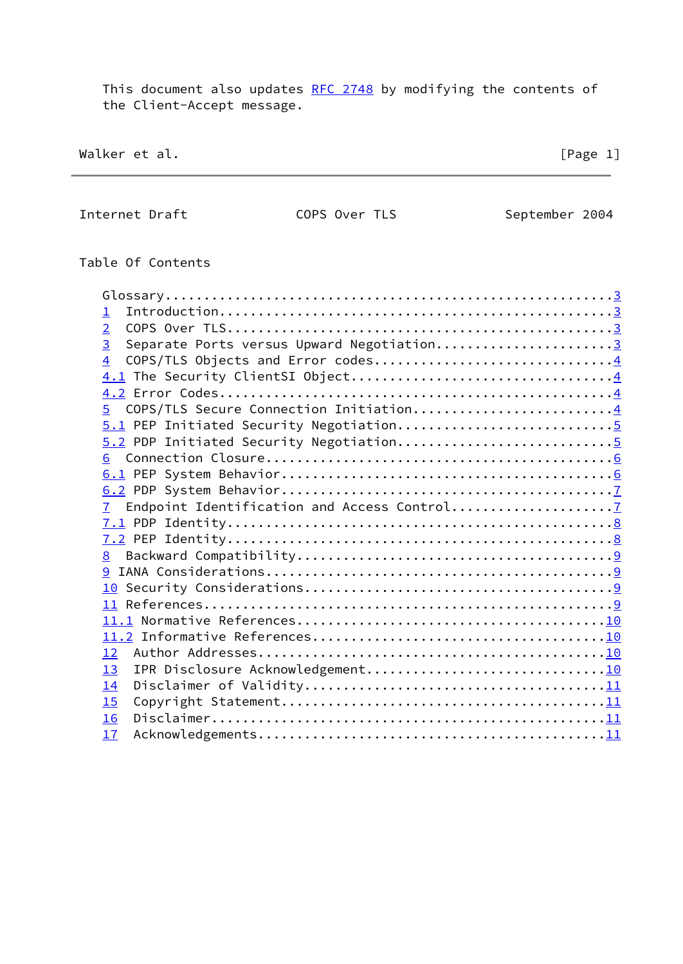This document also updates [RFC 2748](https://datatracker.ietf.org/doc/pdf/rfc2748) by modifying the contents of the Client-Accept message.

Walker et al. [Page 1]

Internet Draft COPS Over TLS September 2004

Table Of Contents

| 1                                                           |  |
|-------------------------------------------------------------|--|
| $\overline{2}$                                              |  |
| $\overline{3}$<br>Separate Ports versus Upward Negotiation3 |  |
| COPS/TLS Objects and Error codes4<br>$\overline{4}$         |  |
|                                                             |  |
|                                                             |  |
| COPS/TLS Secure Connection Initiation4<br>5                 |  |
|                                                             |  |
|                                                             |  |
| 6                                                           |  |
|                                                             |  |
|                                                             |  |
|                                                             |  |
|                                                             |  |
|                                                             |  |
| 8                                                           |  |
|                                                             |  |
|                                                             |  |
|                                                             |  |
|                                                             |  |
|                                                             |  |
| 12                                                          |  |
| 13                                                          |  |
| 14                                                          |  |
|                                                             |  |
| 15                                                          |  |
| 16                                                          |  |
| 17                                                          |  |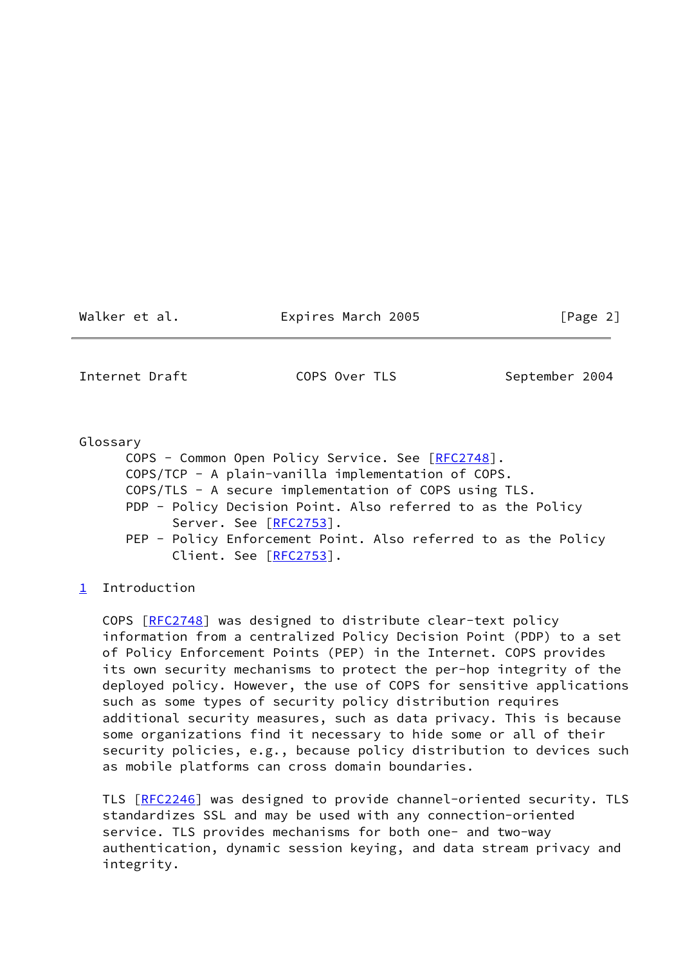Walker et al. **Expires March 2005** [Page 2]

<span id="page-2-0"></span>Internet Draft COPS Over TLS September 2004

 Glossary COPS - Common Open Policy Service. See [[RFC2748\]](https://datatracker.ietf.org/doc/pdf/rfc2748). COPS/TCP - A plain-vanilla implementation of COPS. COPS/TLS - A secure implementation of COPS using TLS. PDP - Policy Decision Point. Also referred to as the Policy Server. See [[RFC2753](https://datatracker.ietf.org/doc/pdf/rfc2753)]. PEP - Policy Enforcement Point. Also referred to as the Policy Client. See [[RFC2753](https://datatracker.ietf.org/doc/pdf/rfc2753)].

<span id="page-2-1"></span>[1](#page-2-1) Introduction

 COPS [[RFC2748](https://datatracker.ietf.org/doc/pdf/rfc2748)] was designed to distribute clear-text policy information from a centralized Policy Decision Point (PDP) to a set of Policy Enforcement Points (PEP) in the Internet. COPS provides its own security mechanisms to protect the per-hop integrity of the deployed policy. However, the use of COPS for sensitive applications such as some types of security policy distribution requires additional security measures, such as data privacy. This is because some organizations find it necessary to hide some or all of their security policies, e.g., because policy distribution to devices such as mobile platforms can cross domain boundaries.

 TLS [\[RFC2246](https://datatracker.ietf.org/doc/pdf/rfc2246)] was designed to provide channel-oriented security. TLS standardizes SSL and may be used with any connection-oriented service. TLS provides mechanisms for both one- and two-way authentication, dynamic session keying, and data stream privacy and integrity.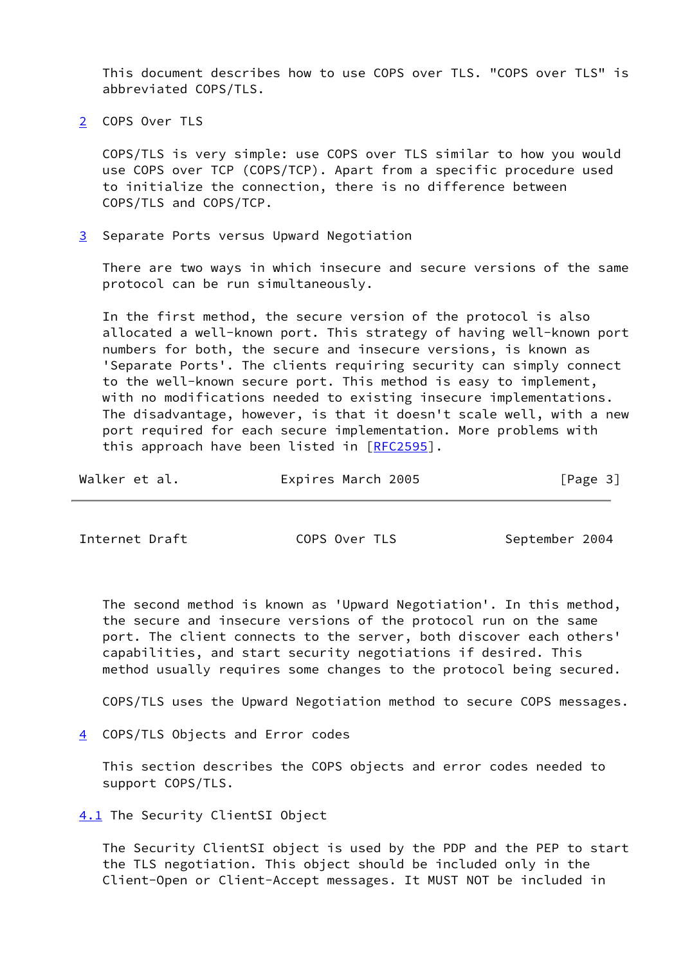This document describes how to use COPS over TLS. "COPS over TLS" is abbreviated COPS/TLS.

<span id="page-3-0"></span>[2](#page-3-0) COPS Over TLS

 COPS/TLS is very simple: use COPS over TLS similar to how you would use COPS over TCP (COPS/TCP). Apart from a specific procedure used to initialize the connection, there is no difference between COPS/TLS and COPS/TCP.

<span id="page-3-1"></span>[3](#page-3-1) Separate Ports versus Upward Negotiation

 There are two ways in which insecure and secure versions of the same protocol can be run simultaneously.

 In the first method, the secure version of the protocol is also allocated a well-known port. This strategy of having well-known port numbers for both, the secure and insecure versions, is known as 'Separate Ports'. The clients requiring security can simply connect to the well-known secure port. This method is easy to implement, with no modifications needed to existing insecure implementations. The disadvantage, however, is that it doesn't scale well, with a new port required for each secure implementation. More problems with this approach have been listed in [[RFC2595\]](https://datatracker.ietf.org/doc/pdf/rfc2595).

| Walker et al. | Expires March 2005 | [Page 3] |
|---------------|--------------------|----------|
|---------------|--------------------|----------|

<span id="page-3-3"></span>Internet Draft **COPS Over TLS** September 2004

 The second method is known as 'Upward Negotiation'. In this method, the secure and insecure versions of the protocol run on the same port. The client connects to the server, both discover each others' capabilities, and start security negotiations if desired. This method usually requires some changes to the protocol being secured.

COPS/TLS uses the Upward Negotiation method to secure COPS messages.

<span id="page-3-2"></span>[4](#page-3-2) COPS/TLS Objects and Error codes

 This section describes the COPS objects and error codes needed to support COPS/TLS.

<span id="page-3-4"></span>[4.1](#page-3-4) The Security ClientSI Object

 The Security ClientSI object is used by the PDP and the PEP to start the TLS negotiation. This object should be included only in the Client-Open or Client-Accept messages. It MUST NOT be included in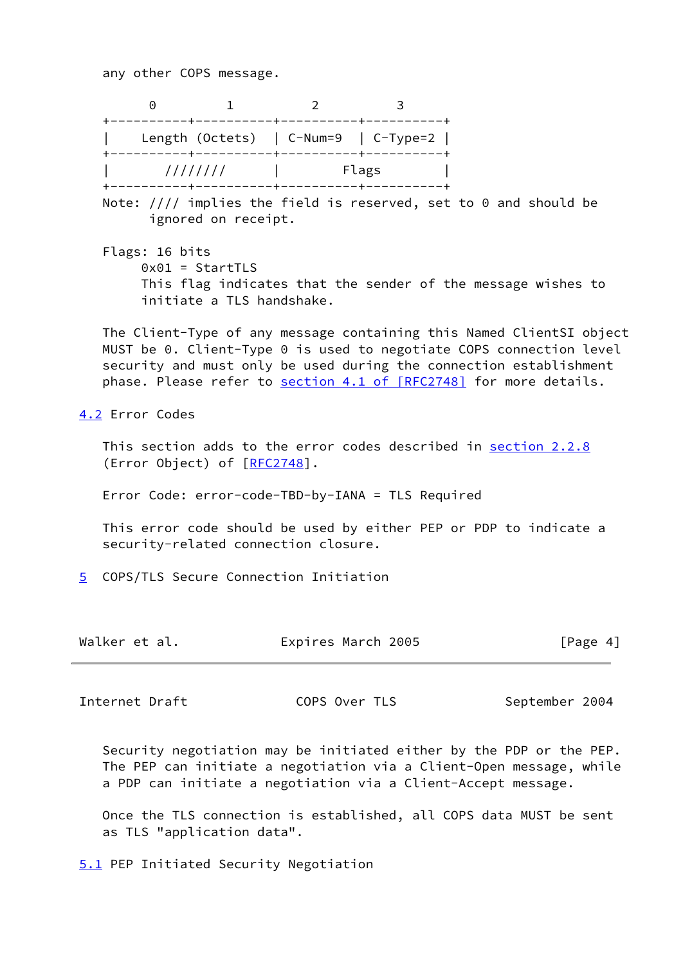any other COPS message.

 0 1 2 3 +----------+----------+----------+----------+ | Length (Octets) | C-Num=9 | C-Type=2 | +----------+----------+----------+----------+ | //////// | Flags | +----------+----------+----------+----------+

 Note: //// implies the field is reserved, set to 0 and should be ignored on receipt.

 Flags: 16 bits 0x01 = StartTLS This flag indicates that the sender of the message wishes to initiate a TLS handshake.

 The Client-Type of any message containing this Named ClientSI object MUST be 0. Client-Type 0 is used to negotiate COPS connection level security and must only be used during the connection establishment phase. Please refer to section [4.1 of \[RFC2748\]](https://datatracker.ietf.org/doc/pdf/rfc2748#section-4.1) for more details.

<span id="page-4-0"></span>[4.2](#page-4-0) Error Codes

This section adds to the error codes described in section 2.2.8 (Error Object) of [[RFC2748\]](https://datatracker.ietf.org/doc/pdf/rfc2748).

Error Code: error-code-TBD-by-IANA = TLS Required

 This error code should be used by either PEP or PDP to indicate a security-related connection closure.

<span id="page-4-1"></span>[5](#page-4-1) COPS/TLS Secure Connection Initiation

| Walker et al. | Expires March 2005 | [Page 4] |
|---------------|--------------------|----------|
|---------------|--------------------|----------|

<span id="page-4-3"></span>Internet Draft COPS Over TLS September 2004

 Security negotiation may be initiated either by the PDP or the PEP. The PEP can initiate a negotiation via a Client-Open message, while a PDP can initiate a negotiation via a Client-Accept message.

 Once the TLS connection is established, all COPS data MUST be sent as TLS "application data".

<span id="page-4-2"></span>[5.1](#page-4-2) PEP Initiated Security Negotiation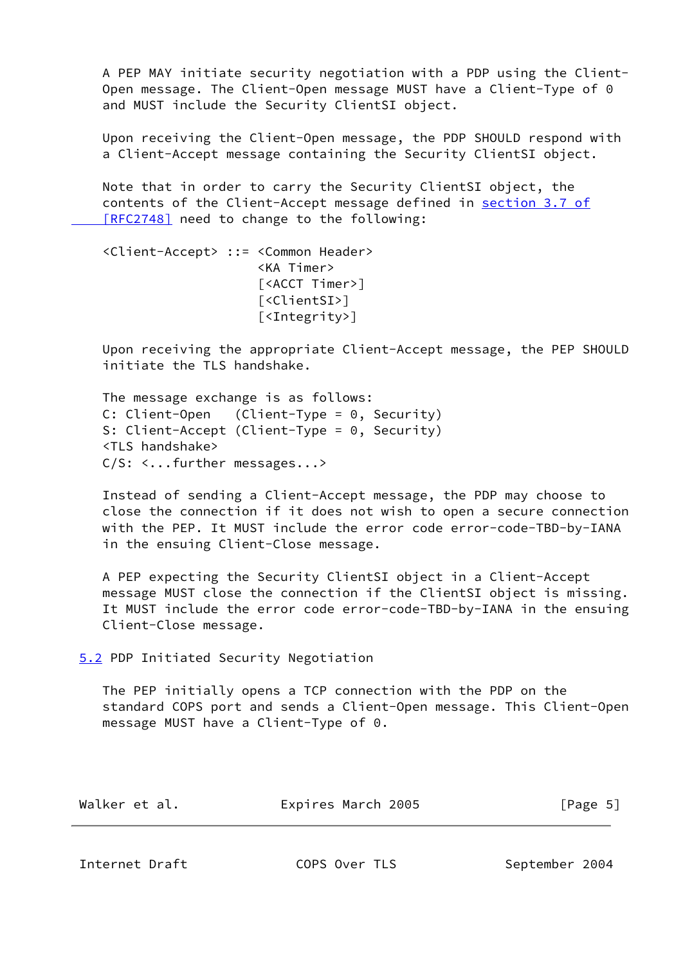A PEP MAY initiate security negotiation with a PDP using the Client- Open message. The Client-Open message MUST have a Client-Type of 0 and MUST include the Security ClientSI object.

 Upon receiving the Client-Open message, the PDP SHOULD respond with a Client-Accept message containing the Security ClientSI object.

 Note that in order to carry the Security ClientSI object, the contents of the Client-Accept message defined in [section](https://datatracker.ietf.org/doc/pdf/rfc2748#section-3.7) 3.7 of  [\[RFC2748\]](https://datatracker.ietf.org/doc/pdf/rfc2748#section-3.7) need to change to the following:

 <Client-Accept> ::= <Common Header> <KA Timer> [<ACCT Timer>] [<ClientSI>] [<Integrity>]

 Upon receiving the appropriate Client-Accept message, the PEP SHOULD initiate the TLS handshake.

 The message exchange is as follows: C: Client-Open (Client-Type = 0, Security) S: Client-Accept (Client-Type = 0, Security) <TLS handshake> C/S: <...further messages...>

 Instead of sending a Client-Accept message, the PDP may choose to close the connection if it does not wish to open a secure connection with the PEP. It MUST include the error code error-code-TBD-by-IANA in the ensuing Client-Close message.

 A PEP expecting the Security ClientSI object in a Client-Accept message MUST close the connection if the ClientSI object is missing. It MUST include the error code error-code-TBD-by-IANA in the ensuing Client-Close message.

<span id="page-5-0"></span>[5.2](#page-5-0) PDP Initiated Security Negotiation

 The PEP initially opens a TCP connection with the PDP on the standard COPS port and sends a Client-Open message. This Client-Open message MUST have a Client-Type of 0.

| Walker et al. | Expires March 2005 | [Page 5] |
|---------------|--------------------|----------|
|               |                    |          |

<span id="page-5-1"></span>Internet Draft COPS Over TLS September 2004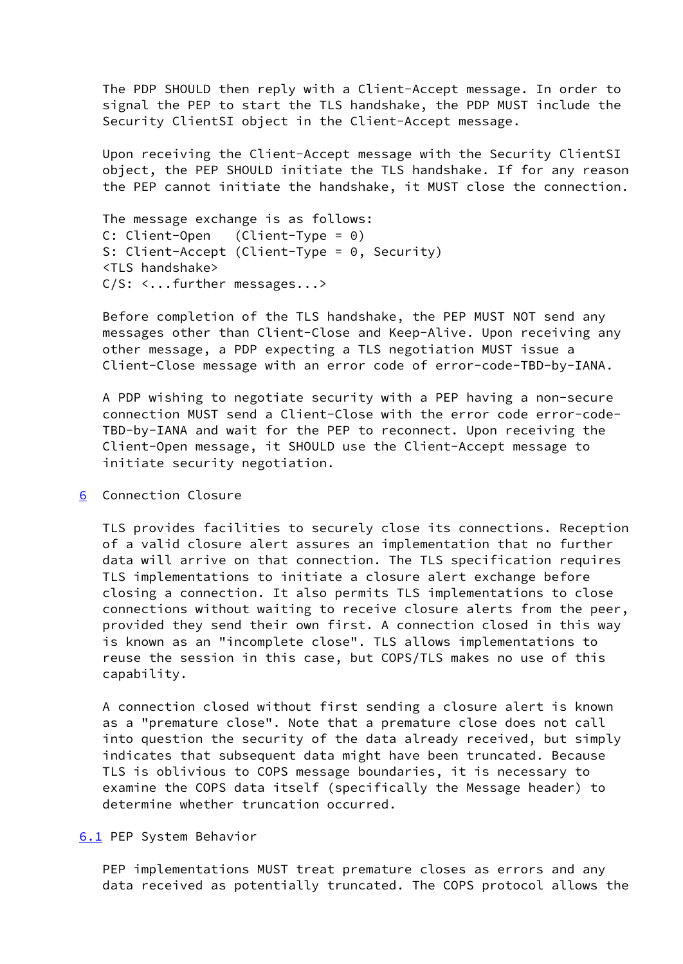The PDP SHOULD then reply with a Client-Accept message. In order to signal the PEP to start the TLS handshake, the PDP MUST include the Security ClientSI object in the Client-Accept message.

 Upon receiving the Client-Accept message with the Security ClientSI object, the PEP SHOULD initiate the TLS handshake. If for any reason the PEP cannot initiate the handshake, it MUST close the connection.

 The message exchange is as follows: C: Client-Open (Client-Type = 0) S: Client-Accept (Client-Type = 0, Security) <TLS handshake> C/S: <...further messages...>

 Before completion of the TLS handshake, the PEP MUST NOT send any messages other than Client-Close and Keep-Alive. Upon receiving any other message, a PDP expecting a TLS negotiation MUST issue a Client-Close message with an error code of error-code-TBD-by-IANA.

 A PDP wishing to negotiate security with a PEP having a non-secure connection MUST send a Client-Close with the error code error-code- TBD-by-IANA and wait for the PEP to reconnect. Upon receiving the Client-Open message, it SHOULD use the Client-Accept message to initiate security negotiation.

## <span id="page-6-0"></span>[6](#page-6-0) Connection Closure

 TLS provides facilities to securely close its connections. Reception of a valid closure alert assures an implementation that no further data will arrive on that connection. The TLS specification requires TLS implementations to initiate a closure alert exchange before closing a connection. It also permits TLS implementations to close connections without waiting to receive closure alerts from the peer, provided they send their own first. A connection closed in this way is known as an "incomplete close". TLS allows implementations to reuse the session in this case, but COPS/TLS makes no use of this capability.

 A connection closed without first sending a closure alert is known as a "premature close". Note that a premature close does not call into question the security of the data already received, but simply indicates that subsequent data might have been truncated. Because TLS is oblivious to COPS message boundaries, it is necessary to examine the COPS data itself (specifically the Message header) to determine whether truncation occurred.

<span id="page-6-1"></span>[6.1](#page-6-1) PEP System Behavior

 PEP implementations MUST treat premature closes as errors and any data received as potentially truncated. The COPS protocol allows the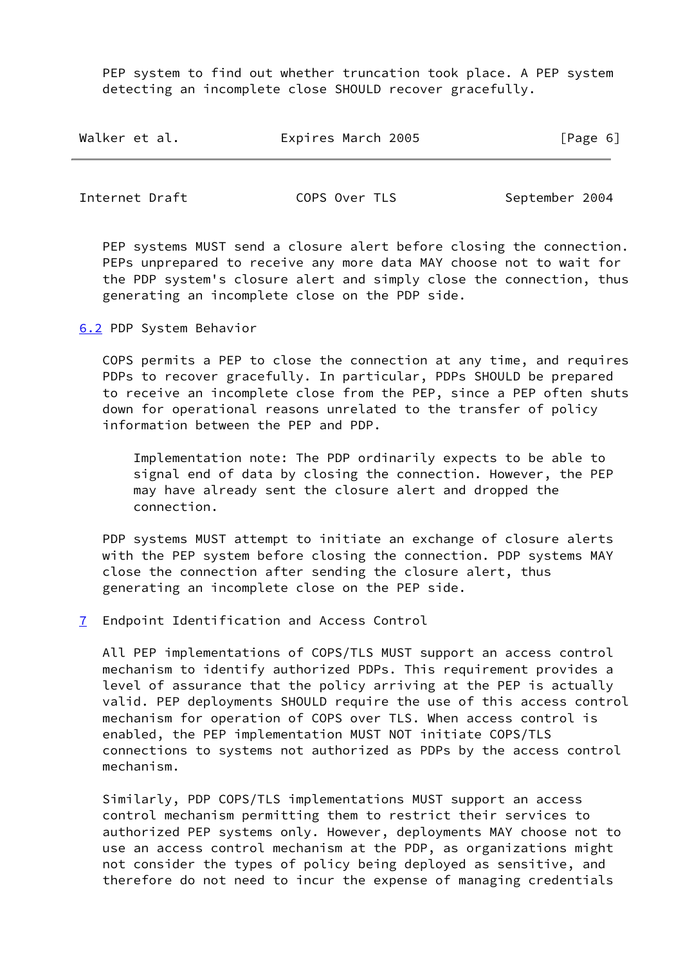PEP system to find out whether truncation took place. A PEP system detecting an incomplete close SHOULD recover gracefully.

| Expires March 2005<br>Walker et al. | [Page 6] |  |
|-------------------------------------|----------|--|
|-------------------------------------|----------|--|

<span id="page-7-1"></span>Internet Draft COPS Over TLS September 2004

 PEP systems MUST send a closure alert before closing the connection. PEPs unprepared to receive any more data MAY choose not to wait for the PDP system's closure alert and simply close the connection, thus generating an incomplete close on the PDP side.

<span id="page-7-0"></span>[6.2](#page-7-0) PDP System Behavior

 COPS permits a PEP to close the connection at any time, and requires PDPs to recover gracefully. In particular, PDPs SHOULD be prepared to receive an incomplete close from the PEP, since a PEP often shuts down for operational reasons unrelated to the transfer of policy information between the PEP and PDP.

 Implementation note: The PDP ordinarily expects to be able to signal end of data by closing the connection. However, the PEP may have already sent the closure alert and dropped the connection.

 PDP systems MUST attempt to initiate an exchange of closure alerts with the PEP system before closing the connection. PDP systems MAY close the connection after sending the closure alert, thus generating an incomplete close on the PEP side.

<span id="page-7-2"></span>[7](#page-7-2) Endpoint Identification and Access Control

 All PEP implementations of COPS/TLS MUST support an access control mechanism to identify authorized PDPs. This requirement provides a level of assurance that the policy arriving at the PEP is actually valid. PEP deployments SHOULD require the use of this access control mechanism for operation of COPS over TLS. When access control is enabled, the PEP implementation MUST NOT initiate COPS/TLS connections to systems not authorized as PDPs by the access control mechanism.

 Similarly, PDP COPS/TLS implementations MUST support an access control mechanism permitting them to restrict their services to authorized PEP systems only. However, deployments MAY choose not to use an access control mechanism at the PDP, as organizations might not consider the types of policy being deployed as sensitive, and therefore do not need to incur the expense of managing credentials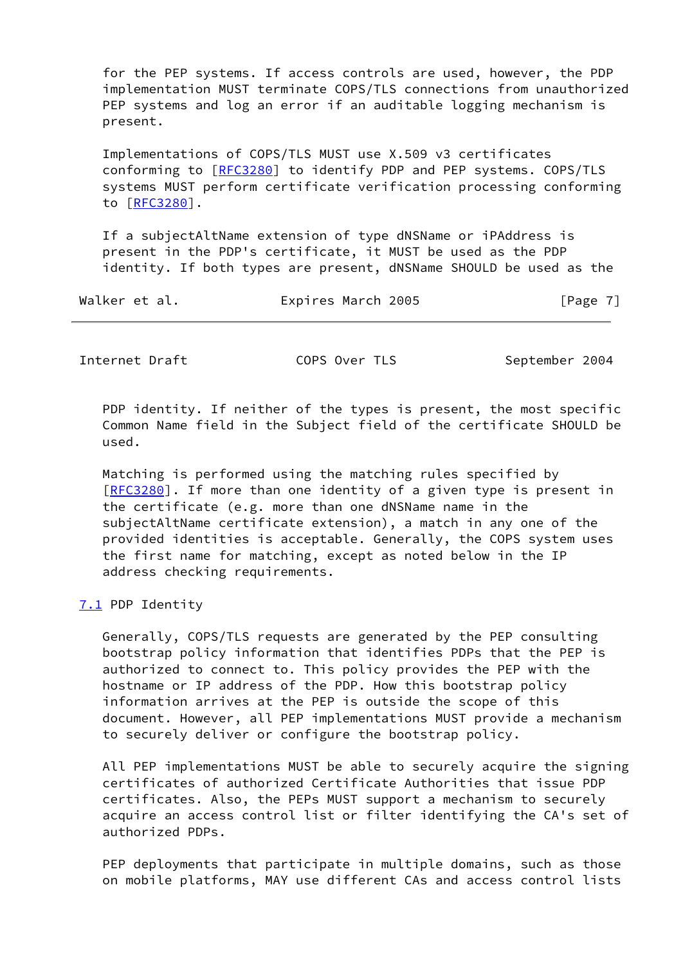for the PEP systems. If access controls are used, however, the PDP implementation MUST terminate COPS/TLS connections from unauthorized PEP systems and log an error if an auditable logging mechanism is present.

 Implementations of COPS/TLS MUST use X.509 v3 certificates conforming to [\[RFC3280](https://datatracker.ietf.org/doc/pdf/rfc3280)] to identify PDP and PEP systems. COPS/TLS systems MUST perform certificate verification processing conforming to [\[RFC3280](https://datatracker.ietf.org/doc/pdf/rfc3280)].

 If a subjectAltName extension of type dNSName or iPAddress is present in the PDP's certificate, it MUST be used as the PDP identity. If both types are present, dNSName SHOULD be used as the

| Walker et al. | Expires March 2005 | [Page 7] |
|---------------|--------------------|----------|
|---------------|--------------------|----------|

<span id="page-8-1"></span>

Internet Draft COPS Over TLS September 2004

PDP identity. If neither of the types is present, the most specific Common Name field in the Subject field of the certificate SHOULD be used.

 Matching is performed using the matching rules specified by [\[RFC3280](https://datatracker.ietf.org/doc/pdf/rfc3280)]. If more than one identity of a given type is present in the certificate (e.g. more than one dNSName name in the subjectAltName certificate extension), a match in any one of the provided identities is acceptable. Generally, the COPS system uses the first name for matching, except as noted below in the IP address checking requirements.

### <span id="page-8-0"></span>[7.1](#page-8-0) PDP Identity

 Generally, COPS/TLS requests are generated by the PEP consulting bootstrap policy information that identifies PDPs that the PEP is authorized to connect to. This policy provides the PEP with the hostname or IP address of the PDP. How this bootstrap policy information arrives at the PEP is outside the scope of this document. However, all PEP implementations MUST provide a mechanism to securely deliver or configure the bootstrap policy.

 All PEP implementations MUST be able to securely acquire the signing certificates of authorized Certificate Authorities that issue PDP certificates. Also, the PEPs MUST support a mechanism to securely acquire an access control list or filter identifying the CA's set of authorized PDPs.

 PEP deployments that participate in multiple domains, such as those on mobile platforms, MAY use different CAs and access control lists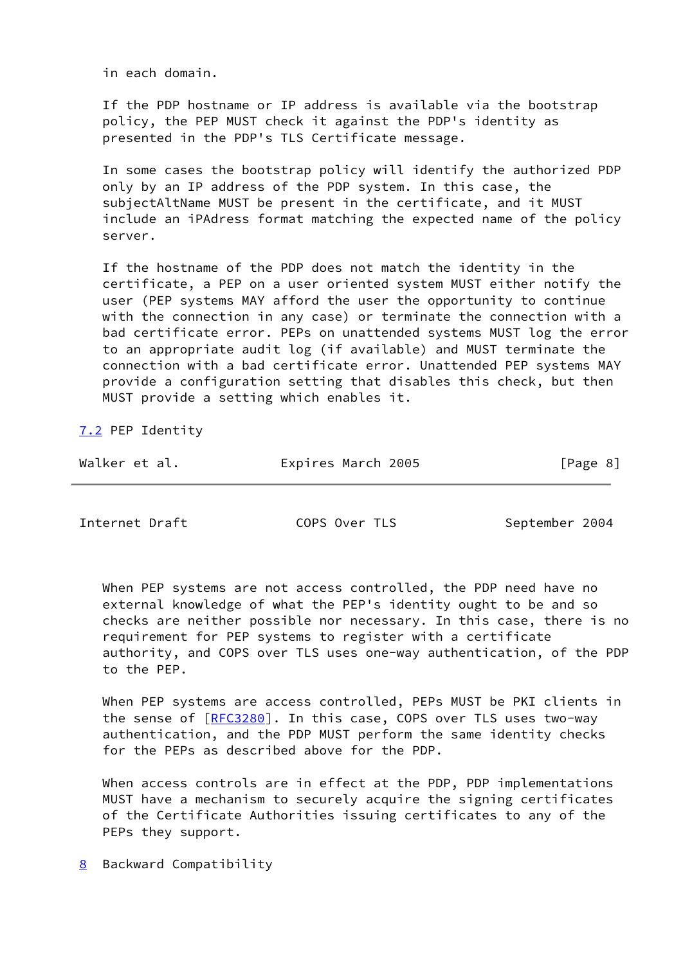in each domain.

 If the PDP hostname or IP address is available via the bootstrap policy, the PEP MUST check it against the PDP's identity as presented in the PDP's TLS Certificate message.

 In some cases the bootstrap policy will identify the authorized PDP only by an IP address of the PDP system. In this case, the subjectAltName MUST be present in the certificate, and it MUST include an iPAdress format matching the expected name of the policy server.

 If the hostname of the PDP does not match the identity in the certificate, a PEP on a user oriented system MUST either notify the user (PEP systems MAY afford the user the opportunity to continue with the connection in any case) or terminate the connection with a bad certificate error. PEPs on unattended systems MUST log the error to an appropriate audit log (if available) and MUST terminate the connection with a bad certificate error. Unattended PEP systems MAY provide a configuration setting that disables this check, but then MUST provide a setting which enables it.

<span id="page-9-0"></span>[7.2](#page-9-0) PEP Identity

| Expires March 2005<br>Walker et al. | [Page 8] |
|-------------------------------------|----------|
|-------------------------------------|----------|

<span id="page-9-2"></span>Internet Draft COPS Over TLS September 2004

 When PEP systems are not access controlled, the PDP need have no external knowledge of what the PEP's identity ought to be and so checks are neither possible nor necessary. In this case, there is no requirement for PEP systems to register with a certificate authority, and COPS over TLS uses one-way authentication, of the PDP to the PEP.

 When PEP systems are access controlled, PEPs MUST be PKI clients in the sense of [[RFC3280](https://datatracker.ietf.org/doc/pdf/rfc3280)]. In this case, COPS over TLS uses two-way authentication, and the PDP MUST perform the same identity checks for the PEPs as described above for the PDP.

 When access controls are in effect at the PDP, PDP implementations MUST have a mechanism to securely acquire the signing certificates of the Certificate Authorities issuing certificates to any of the PEPs they support.

<span id="page-9-1"></span>[8](#page-9-1) Backward Compatibility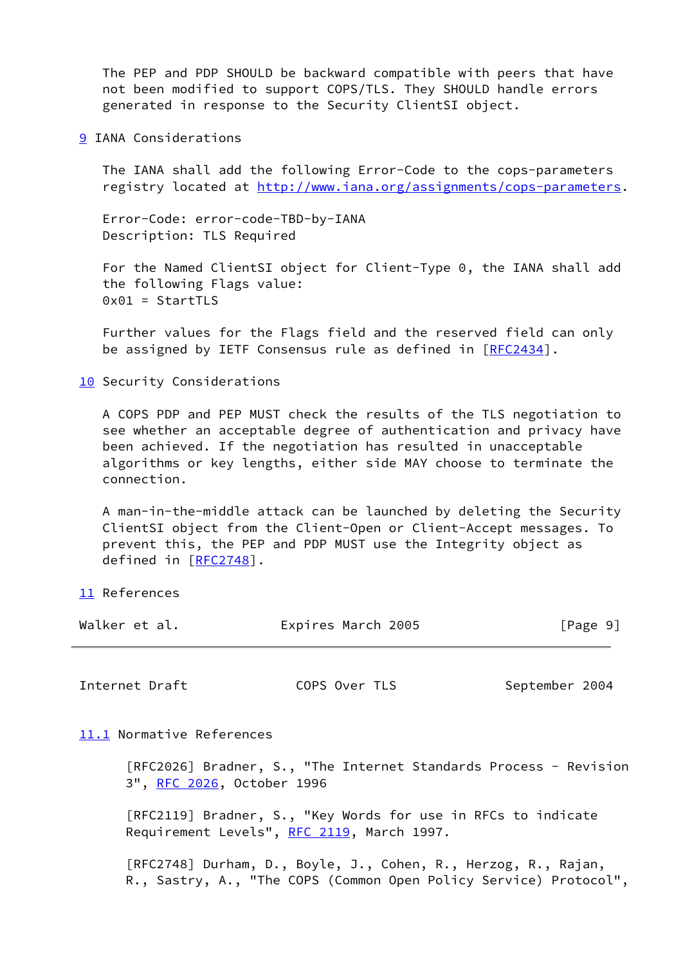The PEP and PDP SHOULD be backward compatible with peers that have not been modified to support COPS/TLS. They SHOULD handle errors generated in response to the Security ClientSI object.

<span id="page-10-0"></span>[9](#page-10-0) IANA Considerations

 The IANA shall add the following Error-Code to the cops-parameters registry located at<http://www.iana.org/assignments/cops-parameters>.

 Error-Code: error-code-TBD-by-IANA Description: TLS Required

 For the Named ClientSI object for Client-Type 0, the IANA shall add the following Flags value: 0x01 = StartTLS

 Further values for the Flags field and the reserved field can only be assigned by IETF Consensus rule as defined in [[RFC2434](https://datatracker.ietf.org/doc/pdf/rfc2434)].

<span id="page-10-1"></span>[10](#page-10-1) Security Considerations

 A COPS PDP and PEP MUST check the results of the TLS negotiation to see whether an acceptable degree of authentication and privacy have been achieved. If the negotiation has resulted in unacceptable algorithms or key lengths, either side MAY choose to terminate the connection.

 A man-in-the-middle attack can be launched by deleting the Security ClientSI object from the Client-Open or Client-Accept messages. To prevent this, the PEP and PDP MUST use the Integrity object as defined in [\[RFC2748](https://datatracker.ietf.org/doc/pdf/rfc2748)].

<span id="page-10-2"></span>[11](#page-10-2) References

| Walker et al. | Expires March 2005 | [Page 9] |
|---------------|--------------------|----------|
|---------------|--------------------|----------|

<span id="page-10-4"></span>Internet Draft COPS Over TLS September 2004

<span id="page-10-3"></span>[11.1](#page-10-3) Normative References

 [RFC2026] Bradner, S., "The Internet Standards Process - Revision 3", [RFC 2026](https://datatracker.ietf.org/doc/pdf/rfc2026), October 1996

 [RFC2119] Bradner, S., "Key Words for use in RFCs to indicate Requirement Levels", [RFC 2119](https://datatracker.ietf.org/doc/pdf/rfc2119), March 1997.

 [RFC2748] Durham, D., Boyle, J., Cohen, R., Herzog, R., Rajan, R., Sastry, A., "The COPS (Common Open Policy Service) Protocol",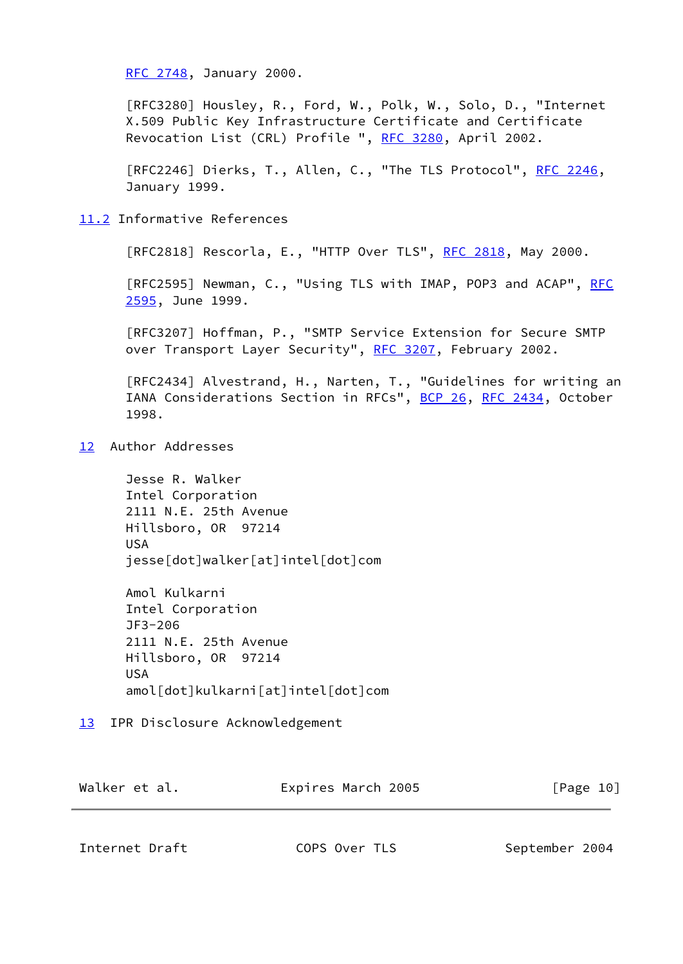[RFC 2748,](https://datatracker.ietf.org/doc/pdf/rfc2748) January 2000.

 [RFC3280] Housley, R., Ford, W., Polk, W., Solo, D., "Internet X.509 Public Key Infrastructure Certificate and Certificate Revocation List (CRL) Profile ", [RFC 3280](https://datatracker.ietf.org/doc/pdf/rfc3280), April 2002.

[RFC2246] Dierks, T., Allen, C., "The TLS Protocol", [RFC 2246](https://datatracker.ietf.org/doc/pdf/rfc2246), January 1999.

# <span id="page-11-0"></span>[11.2](#page-11-0) Informative References

[RFC2818] Rescorla, E., "HTTP Over TLS", [RFC 2818](https://datatracker.ietf.org/doc/pdf/rfc2818), May 2000.

[RFC2595] Newman, C., "Using TLS with IMAP, POP3 and ACAP", [RFC](https://datatracker.ietf.org/doc/pdf/rfc2595) [2595,](https://datatracker.ietf.org/doc/pdf/rfc2595) June 1999.

 [RFC3207] Hoffman, P., "SMTP Service Extension for Secure SMTP over Transport Layer Security", [RFC 3207,](https://datatracker.ietf.org/doc/pdf/rfc3207) February 2002.

 [RFC2434] Alvestrand, H., Narten, T., "Guidelines for writing an IANA Considerations Section in RFCs", [BCP 26](https://datatracker.ietf.org/doc/pdf/bcp26), [RFC 2434](https://datatracker.ietf.org/doc/pdf/rfc2434), October 1998.

<span id="page-11-1"></span>[12](#page-11-1) Author Addresses

 Jesse R. Walker Intel Corporation 2111 N.E. 25th Avenue Hillsboro, OR 97214 USA jesse[dot]walker[at]intel[dot]com

 Amol Kulkarni Intel Corporation JF3-206 2111 N.E. 25th Avenue Hillsboro, OR 97214 USA amol[dot]kulkarni[at]intel[dot]com

<span id="page-11-2"></span>[13](#page-11-2) IPR Disclosure Acknowledgement

| Walker et al. | Expires March 2005 | [Page 10] |
|---------------|--------------------|-----------|
|---------------|--------------------|-----------|

<span id="page-11-3"></span>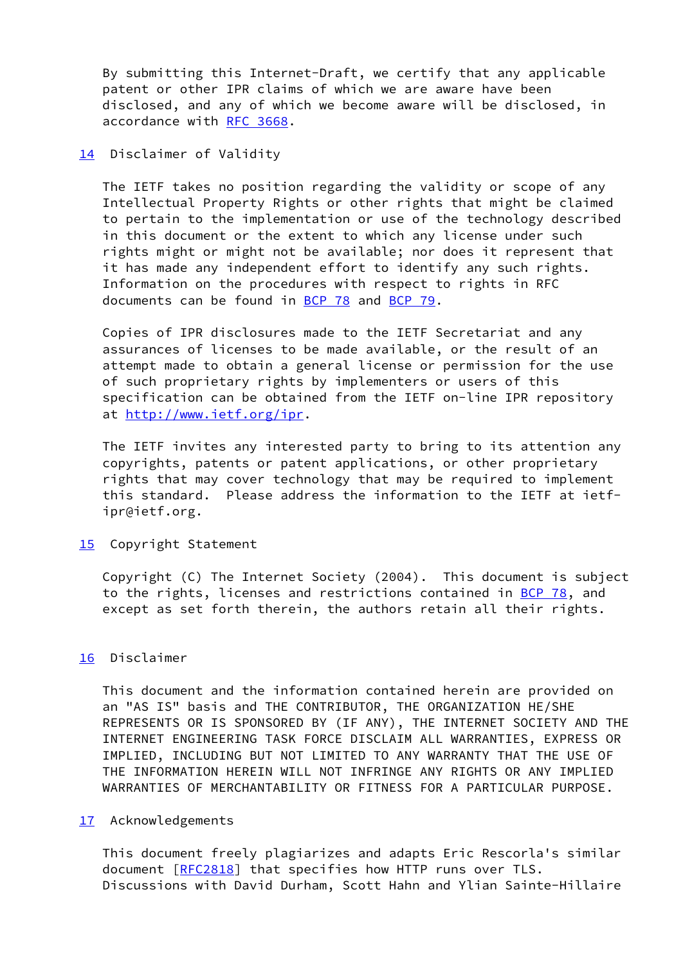By submitting this Internet-Draft, we certify that any applicable patent or other IPR claims of which we are aware have been disclosed, and any of which we become aware will be disclosed, in accordance with [RFC 3668](https://datatracker.ietf.org/doc/pdf/rfc3668).

<span id="page-12-0"></span>[14](#page-12-0) Disclaimer of Validity

 The IETF takes no position regarding the validity or scope of any Intellectual Property Rights or other rights that might be claimed to pertain to the implementation or use of the technology described in this document or the extent to which any license under such rights might or might not be available; nor does it represent that it has made any independent effort to identify any such rights. Information on the procedures with respect to rights in RFC documents can be found in [BCP 78](https://datatracker.ietf.org/doc/pdf/bcp78) and [BCP 79](https://datatracker.ietf.org/doc/pdf/bcp79).

 Copies of IPR disclosures made to the IETF Secretariat and any assurances of licenses to be made available, or the result of an attempt made to obtain a general license or permission for the use of such proprietary rights by implementers or users of this specification can be obtained from the IETF on-line IPR repository at [http://www.ietf.org/ipr.](http://www.ietf.org/ipr)

 The IETF invites any interested party to bring to its attention any copyrights, patents or patent applications, or other proprietary rights that may cover technology that may be required to implement this standard. Please address the information to the IETF at ietf ipr@ietf.org.

<span id="page-12-1"></span>[15](#page-12-1) Copyright Statement

 Copyright (C) The Internet Society (2004). This document is subject to the rights, licenses and restrictions contained in [BCP 78](https://datatracker.ietf.org/doc/pdf/bcp78), and except as set forth therein, the authors retain all their rights.

# <span id="page-12-2"></span>[16](#page-12-2) Disclaimer

 This document and the information contained herein are provided on an "AS IS" basis and THE CONTRIBUTOR, THE ORGANIZATION HE/SHE REPRESENTS OR IS SPONSORED BY (IF ANY), THE INTERNET SOCIETY AND THE INTERNET ENGINEERING TASK FORCE DISCLAIM ALL WARRANTIES, EXPRESS OR IMPLIED, INCLUDING BUT NOT LIMITED TO ANY WARRANTY THAT THE USE OF THE INFORMATION HEREIN WILL NOT INFRINGE ANY RIGHTS OR ANY IMPLIED WARRANTIES OF MERCHANTABILITY OR FITNESS FOR A PARTICULAR PURPOSE.

## <span id="page-12-3"></span>[17](#page-12-3) Acknowledgements

 This document freely plagiarizes and adapts Eric Rescorla's similar document [[RFC2818](https://datatracker.ietf.org/doc/pdf/rfc2818)] that specifies how HTTP runs over TLS. Discussions with David Durham, Scott Hahn and Ylian Sainte-Hillaire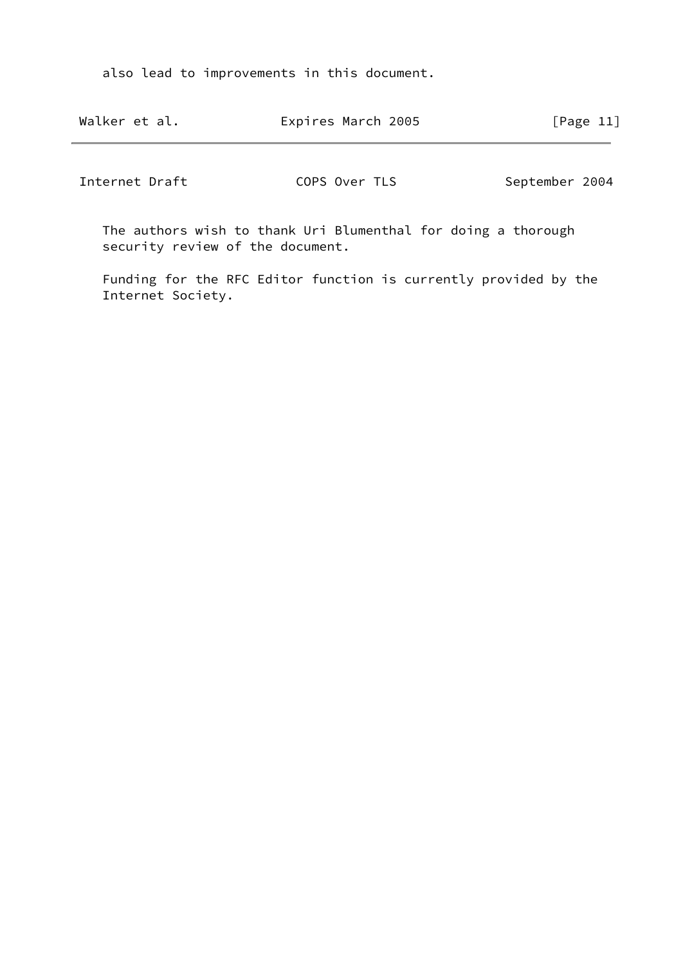also lead to improvements in this document.

| Walker et al.  | Expires March 2005                                            | [Page $11$ ]   |
|----------------|---------------------------------------------------------------|----------------|
| Internet Draft | COPS Over TLS                                                 | September 2004 |
|                | The authors wish to thank Uri Blumenthal for doing a thorough |                |

security review of the document.

 Funding for the RFC Editor function is currently provided by the Internet Society.